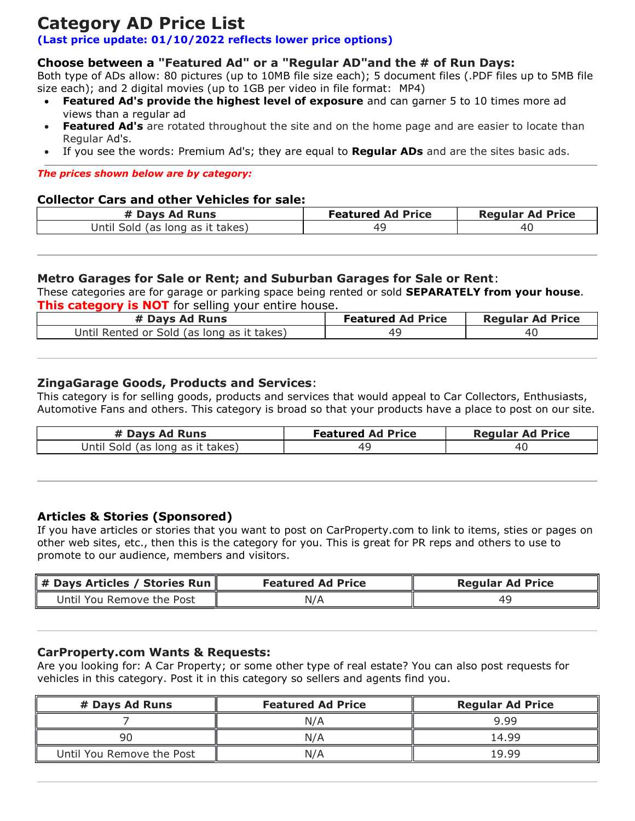# Category AD Price List

## (Last price update: 01/10/2022 reflects lower price options)

## Choose between a "Featured Ad" or a "Regular AD"and the # of Run Days:

Both type of ADs allow: 80 pictures (up to 10MB file size each); 5 document files (.PDF files up to 5MB file size each); and 2 digital movies (up to 1GB per video in file format: MP4)

- Featured Ad's provide the highest level of exposure and can garner 5 to 10 times more ad views than a regular ad
- Featured Ad's are rotated throughout the site and on the home page and are easier to locate than Regular Ad's.
- If you see the words: Premium Ad's; they are equal to **Regular ADs** and are the sites basic ads.

#### The prices shown below are by category:

#### Collector Cars and other Vehicles for sale:

| # Days Ad Runs                   | <b>Featured Ad Price</b> | <b>Regular Ad Price</b> |
|----------------------------------|--------------------------|-------------------------|
| Until Sold (as long as it takes) |                          |                         |

#### Metro Garages for Sale or Rent; and Suburban Garages for Sale or Rent:

These categories are for garage or parking space being rented or sold **SEPARATELY from your house**. **This category is NOT** for selling your entire house.

| # Days Ad Runs                             | <b>Featured Ad Price</b> | <b>Regular Ad Price</b> |
|--------------------------------------------|--------------------------|-------------------------|
| Until Rented or Sold (as long as it takes) |                          |                         |

### ZingaGarage Goods, Products and Services:

This category is for selling goods, products and services that would appeal to Car Collectors, Enthusiasts, Automotive Fans and others. This category is broad so that your products have a place to post on our site.

| # Days Ad Runs                   | <b>Featured Ad Price</b> | <b>Regular Ad Price</b> |
|----------------------------------|--------------------------|-------------------------|
| Until Sold (as long as it takes) |                          | 40                      |

### Articles & Stories (Sponsored)

If you have articles or stories that you want to post on CarProperty.com to link to items, sties or pages on other web sites, etc., then this is the category for you. This is great for PR reps and others to use to promote to our audience, members and visitors.

| $\parallel$ # Days Articles / Stories Run $\parallel$ | <b>Featured Ad Price</b> | <b>Regular Ad Price</b> |
|-------------------------------------------------------|--------------------------|-------------------------|
| Until You Remove the Post<br>N/A                      |                          | 4с                      |

#### CarProperty.com Wants & Requests:

Are you looking for: A Car Property; or some other type of real estate? You can also post requests for vehicles in this category. Post it in this category so sellers and agents find you.

| # Days Ad Runs            | <b>Featured Ad Price</b> | <b>Regular Ad Price</b> |
|---------------------------|--------------------------|-------------------------|
|                           | N/A                      | 9.99                    |
| qn                        | N/A                      | 14.99                   |
| Until You Remove the Post | N/A                      | 1999                    |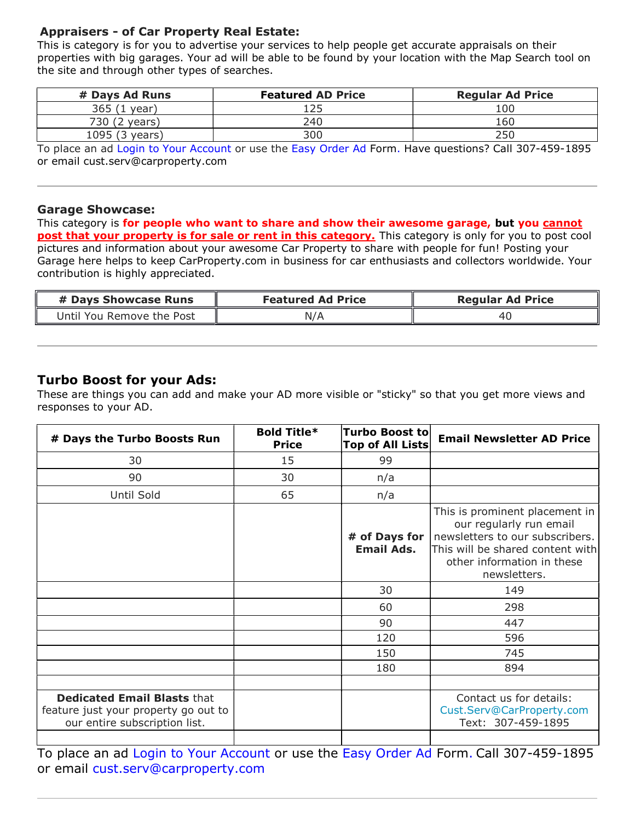## Appraisers - of Car Property Real Estate:

This is category is for you to advertise your services to help people get accurate appraisals on their properties with big garages. Your ad will be able to be found by your location with the Map Search tool on the site and through other types of searches.

| # Days Ad Runs                                                 | <b>Featured AD Price</b> | <b>Regular Ad Price</b> |
|----------------------------------------------------------------|--------------------------|-------------------------|
| 365(1)<br>year)                                                | 125                      | 100                     |
| 730 (2 years)                                                  | 240                      | 160                     |
| 1095 (3 years)                                                 | 300                      | 250                     |
| $\overline{\phantom{a}}$ . The set of $\overline{\phantom{a}}$ | .                        | _ _  _ _ _<br>____      |

To place an ad Login to Your Account or use the Easy Order Ad Form. Have questions? Call 307-459-1895 or email cust.serv@carproperty.com

#### Garage Showcase:

This category is for people who want to share and show their awesome garage, but you cannot post that your property is for sale or rent in this category. This category is only for you to post cool pictures and information about your awesome Car Property to share with people for fun! Posting your Garage here helps to keep CarProperty.com in business for car enthusiasts and collectors worldwide. Your contribution is highly appreciated.

| # Days Showcase Runs      | <b>Featured Ad Price</b> | <b>Regular Ad Price</b> |
|---------------------------|--------------------------|-------------------------|
| Jntil You Remove the Post | N/A                      | -40                     |

## Turbo Boost for your Ads:

These are things you can add and make your AD more visible or "sticky" so that you get more views and responses to your AD.

| # Days the Turbo Boosts Run                                                                                 | <b>Bold Title*</b><br><b>Price</b> | <b>Turbo Boost to</b><br><b>Top of All Lists</b> | <b>Email Newsletter AD Price</b>                                                                                                                                               |
|-------------------------------------------------------------------------------------------------------------|------------------------------------|--------------------------------------------------|--------------------------------------------------------------------------------------------------------------------------------------------------------------------------------|
| 30                                                                                                          | 15                                 | 99                                               |                                                                                                                                                                                |
| 90                                                                                                          | 30                                 | n/a                                              |                                                                                                                                                                                |
| Until Sold                                                                                                  | 65                                 | n/a                                              |                                                                                                                                                                                |
|                                                                                                             |                                    | # of Days for<br><b>Email Ads.</b>               | This is prominent placement in<br>our regularly run email<br>newsletters to our subscribers.<br>This will be shared content with<br>other information in these<br>newsletters. |
|                                                                                                             |                                    | 30                                               | 149                                                                                                                                                                            |
|                                                                                                             |                                    | 60                                               | 298                                                                                                                                                                            |
|                                                                                                             |                                    | 90                                               | 447                                                                                                                                                                            |
|                                                                                                             |                                    | 120                                              | 596                                                                                                                                                                            |
|                                                                                                             |                                    | 150                                              | 745                                                                                                                                                                            |
|                                                                                                             |                                    | 180                                              | 894                                                                                                                                                                            |
|                                                                                                             |                                    |                                                  |                                                                                                                                                                                |
| <b>Dedicated Email Blasts that</b><br>feature just your property go out to<br>our entire subscription list. |                                    |                                                  | Contact us for details:<br>Cust.Serv@CarProperty.com<br>Text: 307-459-1895                                                                                                     |

To place an ad Login to Your Account or use the Easy Order Ad Form. Call 307-459-1895 or email cust.serv@carproperty.com